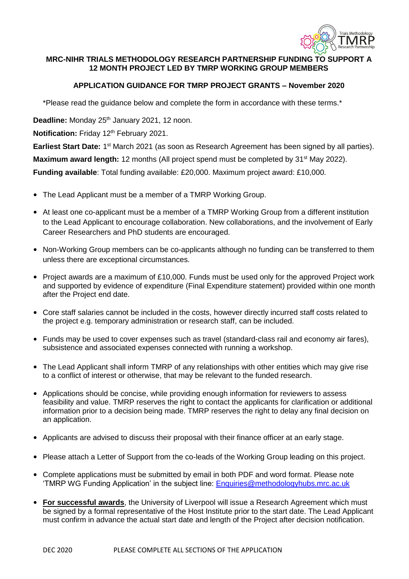

# **MRC-NIHR TRIALS METHODOLOGY RESEARCH PARTNERSHIP FUNDING TO SUPPORT A 12 MONTH PROJECT LED BY TMRP WORKING GROUP MEMBERS**

# **APPLICATION GUIDANCE FOR TMRP PROJECT GRANTS – November 2020**

\*Please read the guidance below and complete the form in accordance with these terms.\*

Deadline: Monday 25<sup>th</sup> January 2021, 12 noon.

**Notification:** Friday 12<sup>th</sup> February 2021.

Earliest Start Date: 1<sup>st</sup> March 2021 (as soon as Research Agreement has been signed by all parties).

**Maximum award length:** 12 months (All project spend must be completed by 31<sup>st</sup> May 2022).

**Funding available**: Total funding available: £20,000. Maximum project award: £10,000.

- The Lead Applicant must be a member of a TMRP Working Group.
- At least one co-applicant must be a member of a TMRP Working Group from a different institution to the Lead Applicant to encourage collaboration. New collaborations, and the involvement of Early Career Researchers and PhD students are encouraged.
- Non-Working Group members can be co-applicants although no funding can be transferred to them unless there are exceptional circumstances.
- Project awards are a maximum of £10,000. Funds must be used only for the approved Project work and supported by evidence of expenditure (Final Expenditure statement) provided within one month after the Project end date.
- Core staff salaries cannot be included in the costs, however directly incurred staff costs related to the project e.g. temporary administration or research staff, can be included.
- Funds may be used to cover expenses such as travel (standard-class rail and economy air fares), subsistence and associated expenses connected with running a workshop.
- The Lead Applicant shall inform TMRP of any relationships with other entities which may give rise to a conflict of interest or otherwise, that may be relevant to the funded research.
- Applications should be concise, while providing enough information for reviewers to assess feasibility and value. TMRP reserves the right to contact the applicants for clarification or additional information prior to a decision being made. TMRP reserves the right to delay any final decision on an application.
- Applicants are advised to discuss their proposal with their finance officer at an early stage.
- Please attach a Letter of Support from the co-leads of the Working Group leading on this project.
- Complete applications must be submitted by email in both PDF and word format. Please note 'TMRP WG Funding Application' in the subject line: **Enquiries@methodologyhubs.mrc.ac.uk**
- **For successful awards**, the University of Liverpool will issue a Research Agreement which must be signed by a formal representative of the Host Institute prior to the start date. The Lead Applicant must confirm in advance the actual start date and length of the Project after decision notification.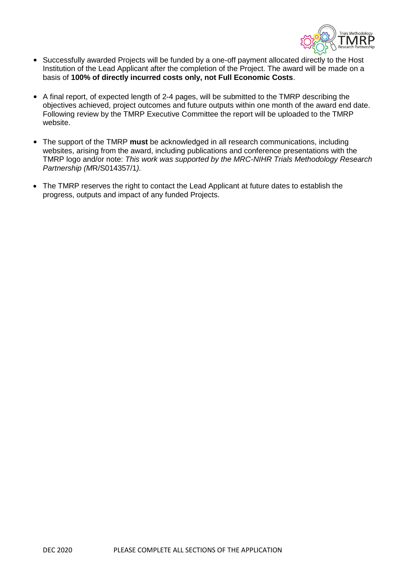

- Successfully awarded Projects will be funded by a one-off payment allocated directly to the Host Institution of the Lead Applicant after the completion of the Project. The award will be made on a basis of **100% of directly incurred costs only, not Full Economic Costs**.
- A final report, of expected length of 2-4 pages, will be submitted to the TMRP describing the objectives achieved, project outcomes and future outputs within one month of the award end date. Following review by the TMRP Executive Committee the report will be uploaded to the TMRP website.
- The support of the TMRP **must** be acknowledged in all research communications, including websites, arising from the award, including publications and conference presentations with the TMRP logo and/or note: *This work was supported by the MRC-NIHR Trials Methodology Research Partnership (M*R/S014357/1*).*
- The TMRP reserves the right to contact the Lead Applicant at future dates to establish the progress, outputs and impact of any funded Projects.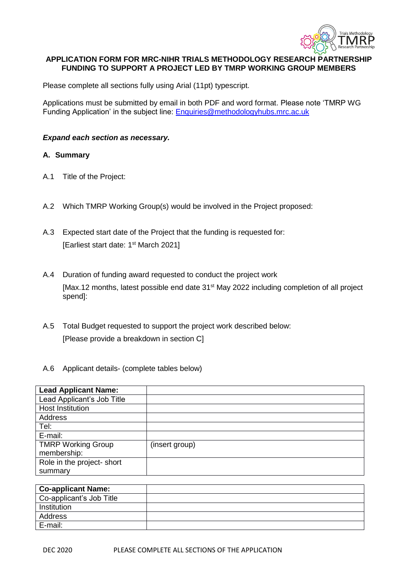

## **APPLICATION FORM FOR MRC-NIHR TRIALS METHODOLOGY RESEARCH PARTNERSHIP FUNDING TO SUPPORT A PROJECT LED BY TMRP WORKING GROUP MEMBERS**

Please complete all sections fully using Arial (11pt) typescript.

Applications must be submitted by email in both PDF and word format. Please note 'TMRP WG Funding Application' in the subject line: **Enquiries@methodologyhubs.mrc.ac.uk** 

#### *Expand each section as necessary.*

#### **A. Summary**

- A.1 Title of the Project:
- A.2 Which TMRP Working Group(s) would be involved in the Project proposed:
- A.3 Expected start date of the Project that the funding is requested for: [Earliest start date: 1<sup>st</sup> March 2021]
- A.4 Duration of funding award requested to conduct the project work [Max.12 months, latest possible end date 31<sup>st</sup> May 2022 including completion of all project spend]:
- A.5 Total Budget requested to support the project work described below: [Please provide a breakdown in section C]

#### A.6 Applicant details- (complete tables below)

| <b>Lead Applicant Name:</b> |                |
|-----------------------------|----------------|
| Lead Applicant's Job Title  |                |
| Host Institution            |                |
| Address                     |                |
| Tel:                        |                |
| E-mail:                     |                |
| <b>TMRP Working Group</b>   | (insert group) |
| membership:                 |                |
| Role in the project- short  |                |
| summary                     |                |

| <b>Co-applicant Name:</b> |  |
|---------------------------|--|
| Co-applicant's Job Title  |  |
| Institution               |  |
| Address                   |  |
| E-mail:                   |  |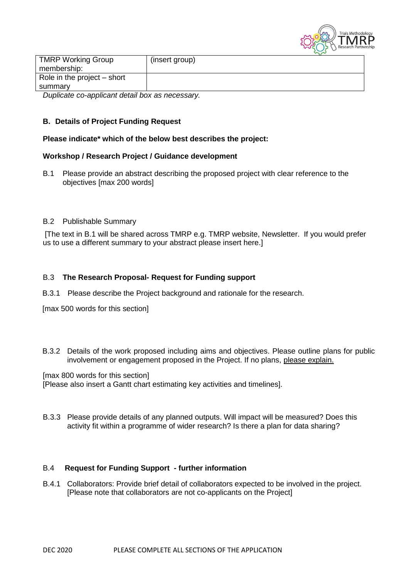

| <b>TMRP Working Group</b>                         | (insert group) |
|---------------------------------------------------|----------------|
| membership:                                       |                |
| Role in the project $-$ short                     |                |
| summarv                                           |                |
| $D$ unligate as annligent detail hay as necessary |                |

*Duplicate co-applicant detail box as necessary.*

## **B. Details of Project Funding Request**

### **Please indicate\* which of the below best describes the project:**

## **Workshop / Research Project / Guidance development**

B.1 Please provide an abstract describing the proposed project with clear reference to the objectives [max 200 words]

### B.2 Publishable Summary

[The text in B.1 will be shared across TMRP e.g. TMRP website, Newsletter. If you would prefer us to use a different summary to your abstract please insert here.]

### B.3 **The Research Proposal- Request for Funding support**

B.3.1 Please describe the Project background and rationale for the research.

[max 500 words for this section]

B.3.2 Details of the work proposed including aims and objectives. Please outline plans for public involvement or engagement proposed in the Project. If no plans, please explain.

[max 800 words for this section] [Please also insert a Gantt chart estimating key activities and timelines].

B.3.3 Please provide details of any planned outputs. Will impact will be measured? Does this activity fit within a programme of wider research? Is there a plan for data sharing?

#### B.4 **Request for Funding Support - further information**

B.4.1 Collaborators: Provide brief detail of collaborators expected to be involved in the project. [Please note that collaborators are not co-applicants on the Project]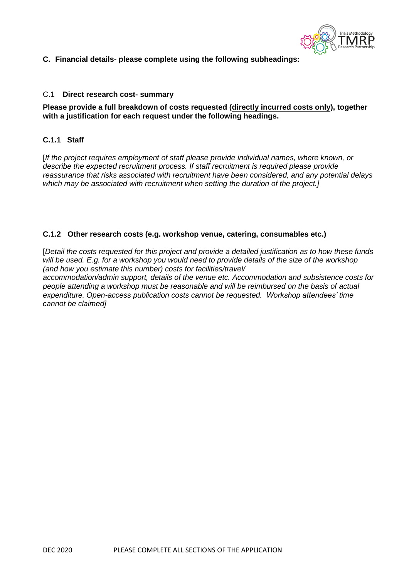

**C. Financial details- please complete using the following subheadings:**

## C.1 **Direct research cost- summary**

### **Please provide a full breakdown of costs requested (directly incurred costs only), together with a justification for each request under the following headings.**

# **C.1.1 Staff**

[*If the project requires employment of staff please provide individual names, where known, or describe the expected recruitment process. If staff recruitment is required please provide reassurance that risks associated with recruitment have been considered, and any potential delays which may be associated with recruitment when setting the duration of the project.]*

## **C.1.2 Other research costs (e.g. workshop venue, catering, consumables etc.)**

[*Detail the costs requested for this project and provide a detailed justification as to how these funds will be used. E.g. for a workshop you would need to provide details of the size of the workshop (and how you estimate this number) costs for facilities/travel/*

*accommodation/admin support, details of the venue etc. Accommodation and subsistence costs for people attending a workshop must be reasonable and will be reimbursed on the basis of actual expenditure. Open-access publication costs cannot be requested. Workshop attendees' time cannot be claimed]*